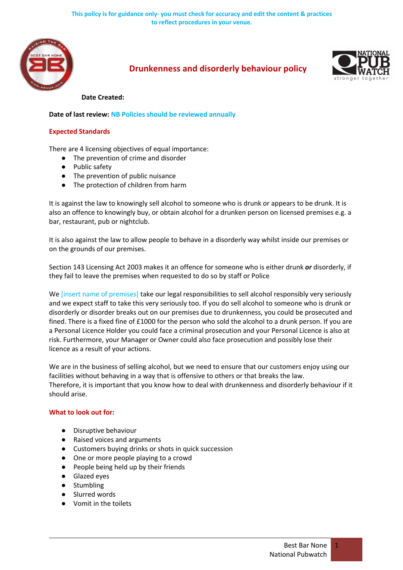

# **Drunkenness and disorderly behaviour policy**



#### **Date Created:**

**Date of last review: NB Policies should be reviewed annually**

### **Expected Standards**

There are 4 licensing objectives of equal importance:

- The prevention of crime and disorder
- Public safety
- The prevention of public nuisance
- The protection of children from harm

It is against the law to knowingly sell alcohol to someone who is drunk or appears to be drunk. It is also an offence to knowingly buy, or obtain alcohol for a drunken person on licensed premises e.g. a bar, restaurant, pub or nightclub.

It is also against the law to allow people to behave in a disorderly way whilst inside our premises or on the grounds of our premises.

Section 143 Licensing Act 2003 makes it an offence for someone who is either drunk *or* disorderly, if they fail to leave the premises when requested to do so by staff or Police

We [insert name of premises] take our legal responsibilities to sell alcohol responsibly very seriously and we expect staff to take this very seriously too. If you do sell alcohol to someone who is drunk or disorderly or disorder breaks out on our premises due to drunkenness, you could be prosecuted and fined. There is a fixed fine of £1000 for the person who sold the alcohol to a drunk person. If you are a Personal Licence Holder you could face a criminal prosecution and your Personal Licence is also at risk. Furthermore, your Manager or Owner could also face prosecution and possibly lose their licence as a result of your actions.

We are in the business of selling alcohol, but we need to ensure that our customers enjoy using our facilities without behaving in a way that is offensive to others or that breaks the law. Therefore, it is important that you know how to deal with drunkenness and disorderly behaviour if it should arise.

### **What to look out for:**

- Disruptive behaviour
- Raised voices and arguments
- Customers buying drinks or shots in quick succession
- One or more people playing to a crowd
- People being held up by their friends
- Glazed eyes
- Stumbling
- Slurred words
- Vomit in the toilets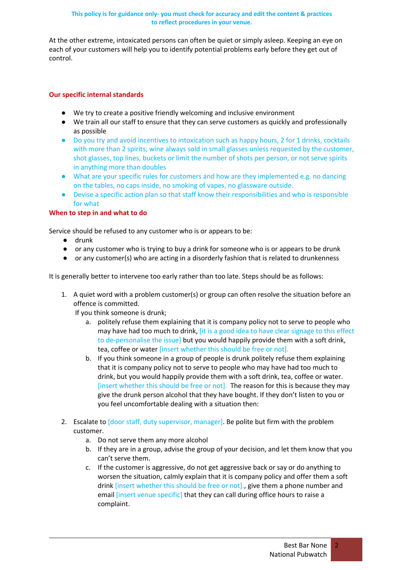### **This policy is for guidance only- you must check for accuracy and edit the content & practices to reflect procedures in your venue.**

At the other extreme, intoxicated persons can often be quiet or simply asleep. Keeping an eye on each of your customers will help you to identify potential problems early before they get out of control.

## **Our specific internal standards**

- We try to create a positive friendly welcoming and inclusive environment
- We train all our staff to ensure that they can serve customers as quickly and professionally as possible
- Do you try and avoid incentives to intoxication such as happy hours, 2 for 1 drinks, cocktails with more than 2 spirits, wine always sold in small glasses unless requested by the customer, shot glasses, top lines, buckets or limit the number of shots per person, or not serve spirits in anything more than doubles
- What are your specific rules for customers and how are they implemented e.g. no dancing on the tables, no caps inside, no smoking of vapes, no glassware outside.
- Devise a specific action plan so that staff know their responsibilities and who is responsible for what

## **When to step in and what to do**

Service should be refused to any customer who is or appears to be:

- drunk
- or any customer who is trying to buy a drink for someone who is or appears to be drunk
- or any customer(s) who are acting in a disorderly fashion that is related to drunkenness

It is generally better to intervene too early rather than too late. Steps should be as follows:

1. A quiet word with a problem customer(s) or group can often resolve the situation before an offence is committed.

If you think someone is drunk;

- a. politely refuse them explaining that it is company policy not to serve to people who may have had too much to drink, *it is a good idea to have clear signage to this effect* to de-personalise the issue] but you would happily provide them with a soft drink, tea, coffee or water [insert whether this should be free or not].
- b. If you think someone in a group of people is drunk politely refuse them explaining that it is company policy not to serve to people who may have had too much to drink, but you would happily provide them with a soft drink, tea, coffee or water. [insert whether this should be free or not]. The reason for this is because they may give the drunk person alcohol that they have bought. If they don't listen to you or you feel uncomfortable dealing with a situation then:
- 2. Escalate to [door staff, duty supervisor, manager]. Be polite but firm with the problem customer.
	- a. Do not serve them any more alcohol
	- b. If they are in a group, advise the group of your decision, and let them know that you can't serve them.
	- c. If the customer is aggressive, do not get aggressive back or say or do anything to worsen the situation, calmly explain that it is company policy and offer them a soft drink *[insert whether this should be free or not].*, give them a phone number and email *[insert venue specific]* that they can call during office hours to raise a complaint.